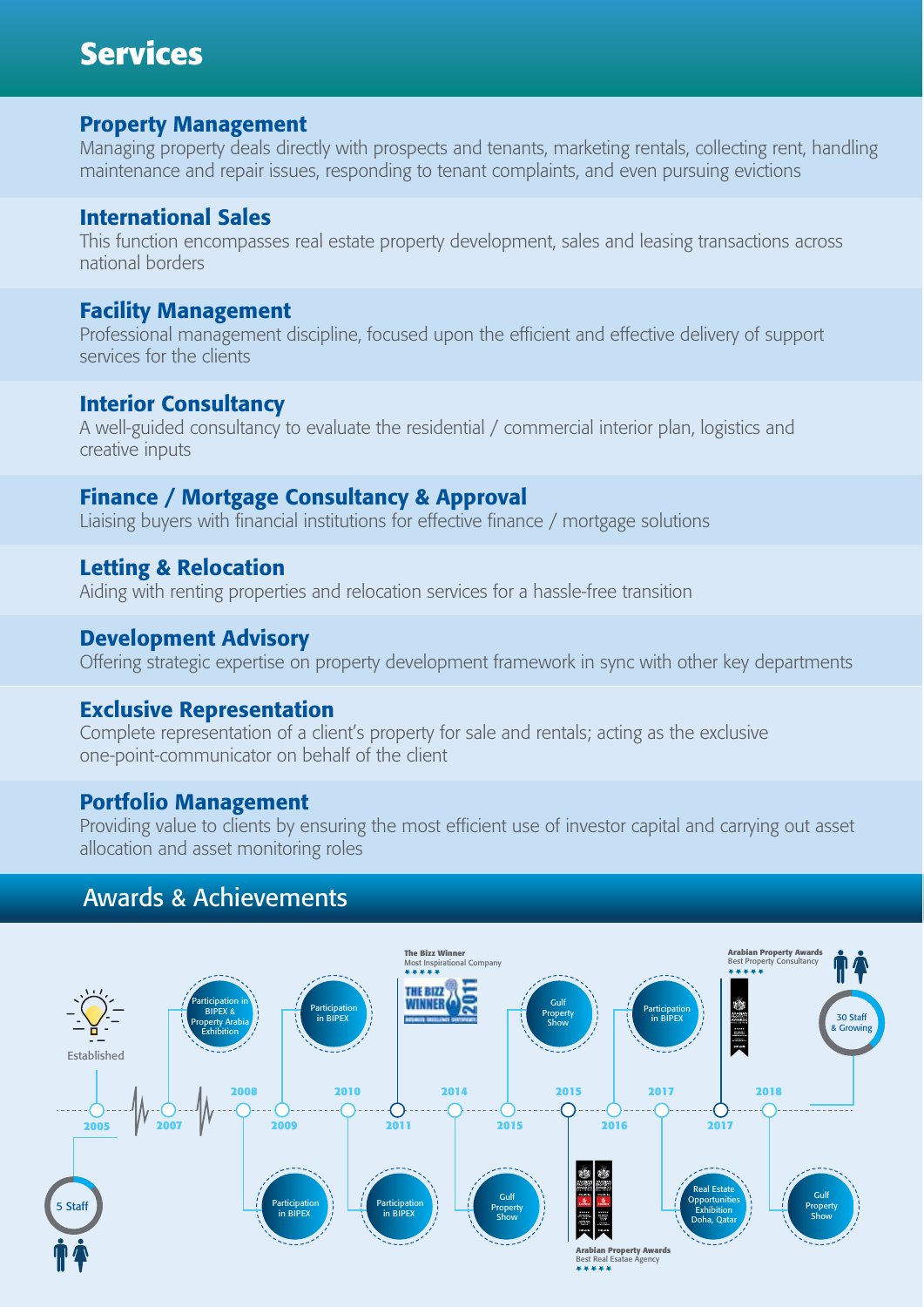# **Services**

#### Property Management

Managing property deals directly with prospects and tenants, marketing rentals, collecting rent, handling maintenance and repair issues, responding to tenant complaints, and even pursuing evictions

#### International Sales

This function encompasses real estate property development, sales and leasing transactions across national borders

#### Facility Management

Professional management discipline, focused upon the efficient and effective delivery of support services for the clients

## Interior Consultancy

A well-guided consultancy to evaluate the residential / commercial interior plan, logistics and creative inputs

# Finance / Mortgage Consultancy & Approval

Liaising buyers with financial institutions for effective finance / mortgage solutions

## Letting & Relocation

Aiding with renting properties and relocation services for a hassle-free transition

## Development Advisory

Offering strategic expertise on property development framework in sync with other key departments

#### Exclusive Representation

Complete representation of a client's property for sale and rentals; acting as the exclusive one-point-communicator on behalf of the client

#### Portfolio Management

Providing value to clients by ensuring the most efficient use of investor capital and carrying out asset allocation and asset monitoring roles

# Awards & Achievements